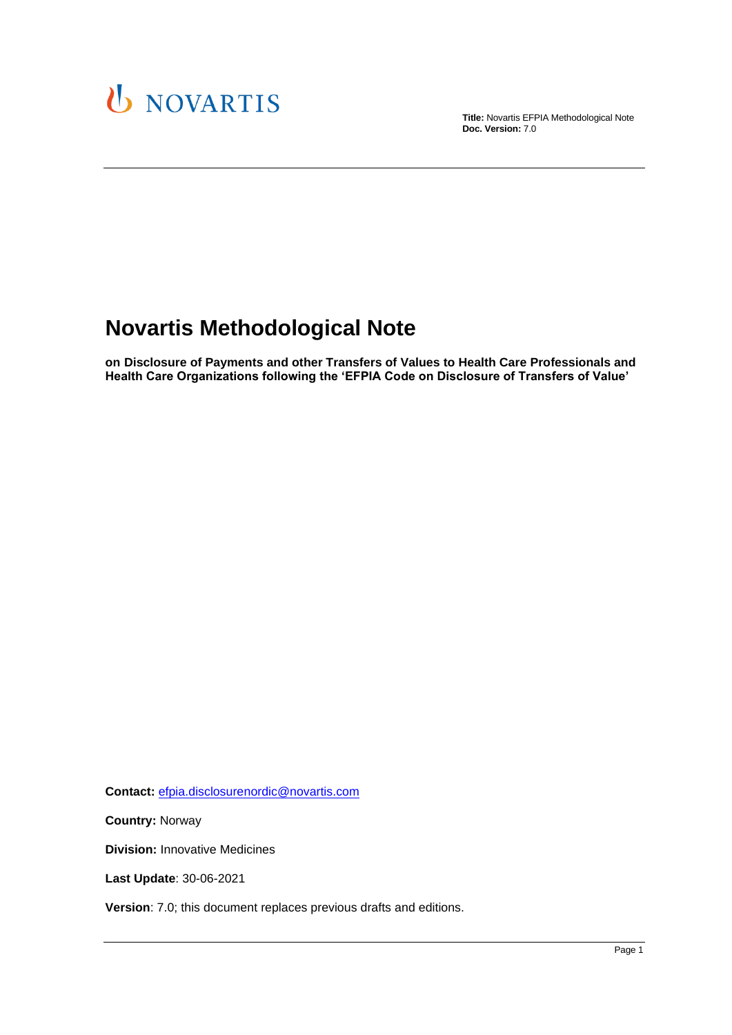

**Title:** Novartis EFPIA Methodological Note **Doc. Version:** 7.0

# **Novartis Methodological Note**

**on Disclosure of Payments and other Transfers of Values to Health Care Professionals and Health Care Organizations following the 'EFPIA Code on Disclosure of Transfers of Value'**

**Contact:** [efpia.disclosurenordic@novartis.com](mailto:efpia.disclosurenordic@novartis.com)

**Country:** Norway

**Division:** Innovative Medicines

**Last Update**: 30-06-2021

**Version**: 7.0; this document replaces previous drafts and editions.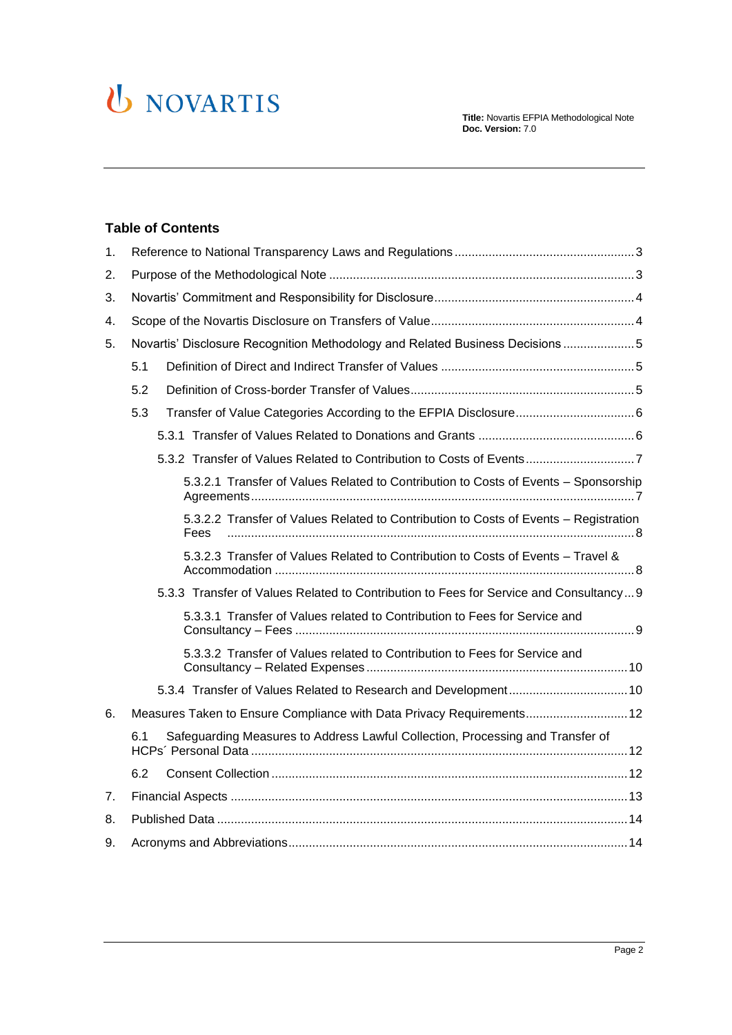# U NOVARTIS

#### **Table of Contents**

| 1. |                                                                                              |
|----|----------------------------------------------------------------------------------------------|
| 2. |                                                                                              |
| 3. |                                                                                              |
| 4. |                                                                                              |
| 5. | Novartis' Disclosure Recognition Methodology and Related Business Decisions5                 |
|    | 5.1                                                                                          |
|    | 5.2                                                                                          |
|    | 5.3                                                                                          |
|    |                                                                                              |
|    |                                                                                              |
|    | 5.3.2.1 Transfer of Values Related to Contribution to Costs of Events - Sponsorship          |
|    | 5.3.2.2 Transfer of Values Related to Contribution to Costs of Events - Registration<br>Fees |
|    | 5.3.2.3 Transfer of Values Related to Contribution to Costs of Events - Travel &             |
|    | 5.3.3 Transfer of Values Related to Contribution to Fees for Service and Consultancy 9       |
|    | 5.3.3.1 Transfer of Values related to Contribution to Fees for Service and                   |
|    | 5.3.3.2 Transfer of Values related to Contribution to Fees for Service and                   |
|    |                                                                                              |
| 6. | Measures Taken to Ensure Compliance with Data Privacy Requirements 12                        |
|    | Safeguarding Measures to Address Lawful Collection, Processing and Transfer of<br>6.1        |
|    | 6.2                                                                                          |
| 7. |                                                                                              |
| 8. |                                                                                              |
| 9. |                                                                                              |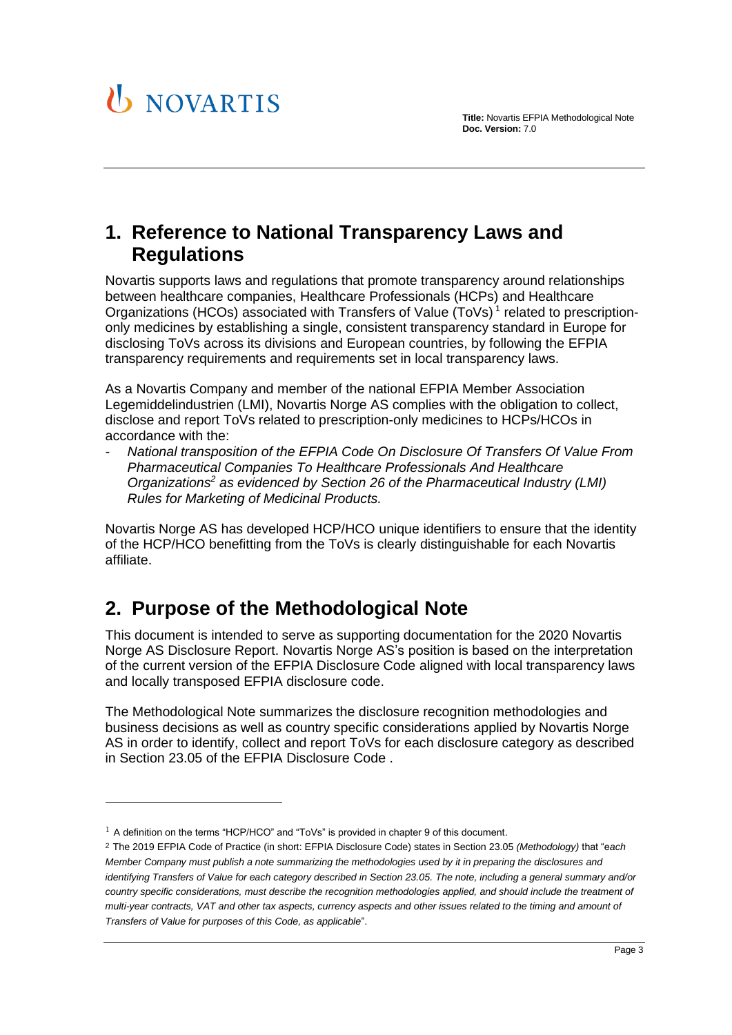

## <span id="page-2-0"></span>**1. Reference to National Transparency Laws and Regulations**

Novartis supports laws and regulations that promote transparency around relationships between healthcare companies, Healthcare Professionals (HCPs) and Healthcare Organizations (HCOs) associated with Transfers of Value (ToVs)<sup>1</sup> related to prescriptiononly medicines by establishing a single, consistent transparency standard in Europe for disclosing ToVs across its divisions and European countries, by following the EFPIA transparency requirements and requirements set in local transparency laws.

As a Novartis Company and member of the national EFPIA Member Association Legemiddelindustrien (LMI), Novartis Norge AS complies with the obligation to collect, disclose and report ToVs related to prescription-only medicines to HCPs/HCOs in accordance with the:

- *National transposition of the EFPIA Code On Disclosure Of Transfers Of Value From Pharmaceutical Companies To Healthcare Professionals And Healthcare Organizations<sup>2</sup> as evidenced by Section 26 of the Pharmaceutical Industry (LMI) Rules for Marketing of Medicinal Products.*

Novartis Norge AS has developed HCP/HCO unique identifiers to ensure that the identity of the HCP/HCO benefitting from the ToVs is clearly distinguishable for each Novartis affiliate.

## <span id="page-2-1"></span>**2. Purpose of the Methodological Note**

This document is intended to serve as supporting documentation for the 2020 Novartis Norge AS Disclosure Report. Novartis Norge AS's position is based on the interpretation of the current version of the EFPIA Disclosure Code aligned with local transparency laws and locally transposed EFPIA disclosure code.

The Methodological Note summarizes the disclosure recognition methodologies and business decisions as well as country specific considerations applied by Novartis Norge AS in order to identify, collect and report ToVs for each disclosure category as described in Section 23.05 of the EFPIA Disclosure Code .

<sup>&</sup>lt;sup>1</sup> A definition on the terms "HCP/HCO" and "ToVs" is provided in chapter 9 of this document.

<sup>2</sup> The 2019 EFPIA Code of Practice (in short: EFPIA Disclosure Code) states in Section 23.05 *(Methodology)* that "e*ach Member Company must publish a note summarizing the methodologies used by it in preparing the disclosures and identifying Transfers of Value for each category described in Section 23.05. The note, including a general summary and/or country specific considerations, must describe the recognition methodologies applied, and should include the treatment of multi-year contracts, VAT and other tax aspects, currency aspects and other issues related to the timing and amount of Transfers of Value for purposes of this Code, as applicable*".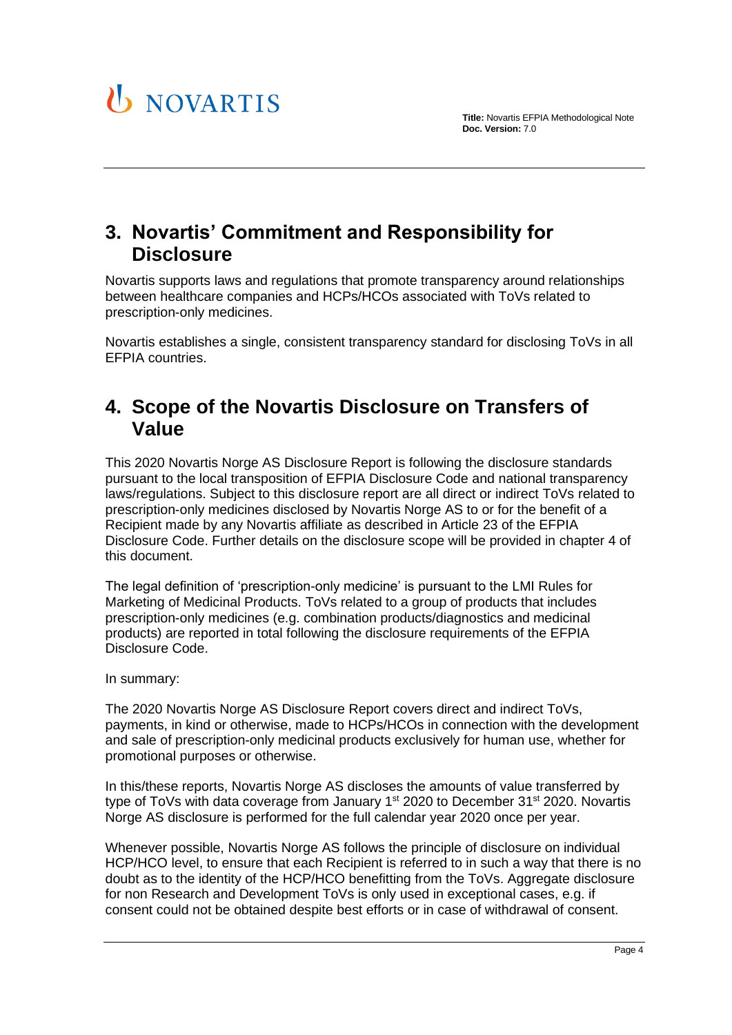

## <span id="page-3-0"></span>**3. Novartis' Commitment and Responsibility for Disclosure**

Novartis supports laws and regulations that promote transparency around relationships between healthcare companies and HCPs/HCOs associated with ToVs related to prescription-only medicines.

Novartis establishes a single, consistent transparency standard for disclosing ToVs in all EFPIA countries.

## <span id="page-3-1"></span>**4. Scope of the Novartis Disclosure on Transfers of Value**

This 2020 Novartis Norge AS Disclosure Report is following the disclosure standards pursuant to the local transposition of EFPIA Disclosure Code and national transparency laws/regulations. Subject to this disclosure report are all direct or indirect ToVs related to prescription-only medicines disclosed by Novartis Norge AS to or for the benefit of a Recipient made by any Novartis affiliate as described in Article 23 of the EFPIA Disclosure Code. Further details on the disclosure scope will be provided in chapter [4](#page-3-1) of this document.

The legal definition of 'prescription-only medicine' is pursuant to the LMI Rules for Marketing of Medicinal Products. ToVs related to a group of products that includes prescription-only medicines (e.g. combination products/diagnostics and medicinal products) are reported in total following the disclosure requirements of the EFPIA Disclosure Code.

In summary:

The 2020 Novartis Norge AS Disclosure Report covers direct and indirect ToVs, payments, in kind or otherwise, made to HCPs/HCOs in connection with the development and sale of prescription-only medicinal products exclusively for human use, whether for promotional purposes or otherwise.

In this/these reports, Novartis Norge AS discloses the amounts of value transferred by type of ToVs with data coverage from January  $1<sup>st</sup>$  2020 to December 31 $<sup>st</sup>$  2020. Novartis</sup> Norge AS disclosure is performed for the full calendar year 2020 once per year.

Whenever possible, Novartis Norge AS follows the principle of disclosure on individual HCP/HCO level, to ensure that each Recipient is referred to in such a way that there is no doubt as to the identity of the HCP/HCO benefitting from the ToVs. Aggregate disclosure for non Research and Development ToVs is only used in exceptional cases, e.g. if consent could not be obtained despite best efforts or in case of withdrawal of consent.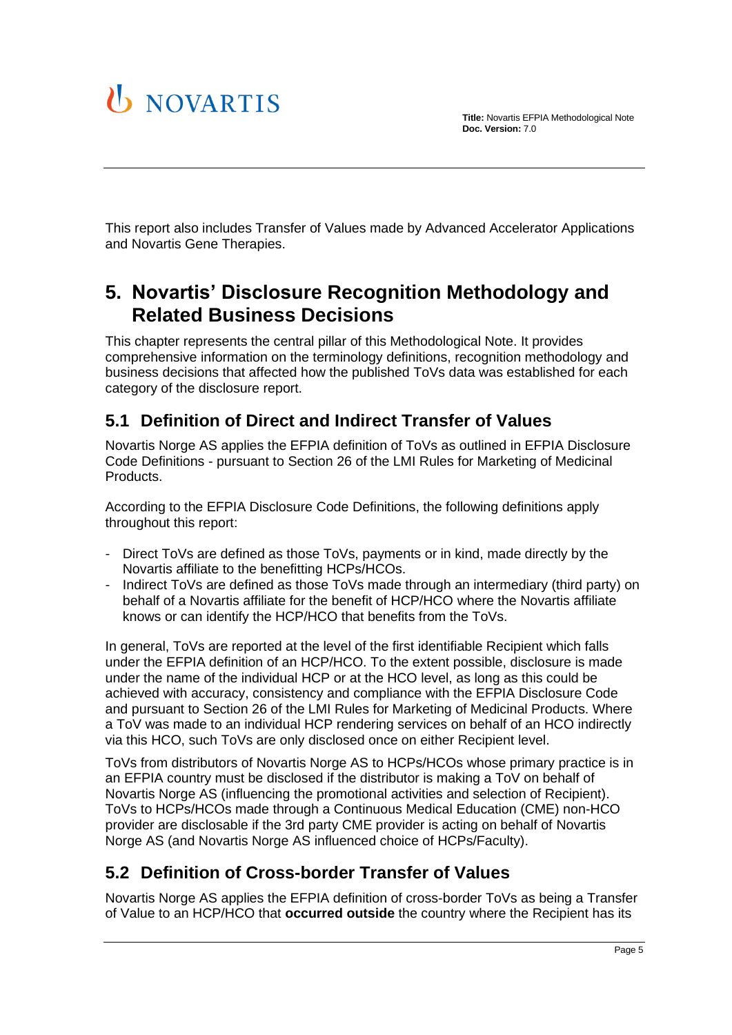

This report also includes Transfer of Values made by Advanced Accelerator Applications and Novartis Gene Therapies.

## <span id="page-4-0"></span>**5. Novartis' Disclosure Recognition Methodology and Related Business Decisions**

This chapter represents the central pillar of this Methodological Note. It provides comprehensive information on the terminology definitions, recognition methodology and business decisions that affected how the published ToVs data was established for each category of the disclosure report.

### <span id="page-4-1"></span>**5.1 Definition of Direct and Indirect Transfer of Values**

Novartis Norge AS applies the EFPIA definition of ToVs as outlined in EFPIA Disclosure Code Definitions - pursuant to Section 26 of the LMI Rules for Marketing of Medicinal Products.

According to the EFPIA Disclosure Code Definitions, the following definitions apply throughout this report:

- Direct ToVs are defined as those ToVs, payments or in kind, made directly by the Novartis affiliate to the benefitting HCPs/HCOs.
- Indirect ToVs are defined as those ToVs made through an intermediary (third party) on behalf of a Novartis affiliate for the benefit of HCP/HCO where the Novartis affiliate knows or can identify the HCP/HCO that benefits from the ToVs.

In general, ToVs are reported at the level of the first identifiable Recipient which falls under the EFPIA definition of an HCP/HCO. To the extent possible, disclosure is made under the name of the individual HCP or at the HCO level, as long as this could be achieved with accuracy, consistency and compliance with the EFPIA Disclosure Code and pursuant to Section 26 of the LMI Rules for Marketing of Medicinal Products. Where a ToV was made to an individual HCP rendering services on behalf of an HCO indirectly via this HCO, such ToVs are only disclosed once on either Recipient level.

ToVs from distributors of Novartis Norge AS to HCPs/HCOs whose primary practice is in an EFPIA country must be disclosed if the distributor is making a ToV on behalf of Novartis Norge AS (influencing the promotional activities and selection of Recipient). ToVs to HCPs/HCOs made through a Continuous Medical Education (CME) non-HCO provider are disclosable if the 3rd party CME provider is acting on behalf of Novartis Norge AS (and Novartis Norge AS influenced choice of HCPs/Faculty).

## <span id="page-4-2"></span>**5.2 Definition of Cross-border Transfer of Values**

Novartis Norge AS applies the EFPIA definition of cross-border ToVs as being a Transfer of Value to an HCP/HCO that **occurred outside** the country where the Recipient has its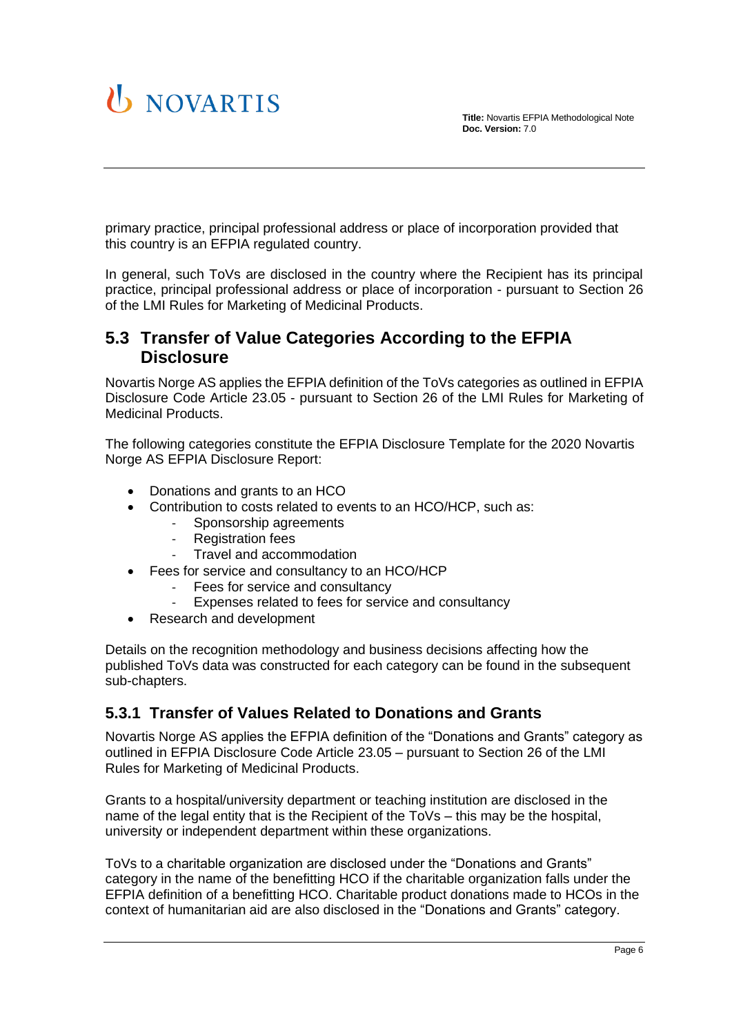

primary practice, principal professional address or place of incorporation provided that this country is an EFPIA regulated country.

In general, such ToVs are disclosed in the country where the Recipient has its principal practice, principal professional address or place of incorporation - pursuant to Section 26 of the LMI Rules for Marketing of Medicinal Products.

#### <span id="page-5-0"></span>**5.3 Transfer of Value Categories According to the EFPIA Disclosure**

Novartis Norge AS applies the EFPIA definition of the ToVs categories as outlined in EFPIA Disclosure Code Article 23.05 - pursuant to Section 26 of the LMI Rules for Marketing of Medicinal Products.

The following categories constitute the EFPIA Disclosure Template for the 2020 Novartis Norge AS EFPIA Disclosure Report:

- Donations and grants to an HCO
- Contribution to costs related to events to an HCO/HCP, such as:
	- Sponsorship agreements
	- Registration fees
	- Travel and accommodation
- Fees for service and consultancy to an HCO/HCP
	- Fees for service and consultancy
	- Expenses related to fees for service and consultancy
- Research and development

Details on the recognition methodology and business decisions affecting how the published ToVs data was constructed for each category can be found in the subsequent sub-chapters.

#### <span id="page-5-1"></span>**5.3.1 Transfer of Values Related to Donations and Grants**

Novartis Norge AS applies the EFPIA definition of the "Donations and Grants" category as outlined in EFPIA Disclosure Code Article 23.05 – pursuant to Section 26 of the LMI Rules for Marketing of Medicinal Products.

Grants to a hospital/university department or teaching institution are disclosed in the name of the legal entity that is the Recipient of the ToVs – this may be the hospital, university or independent department within these organizations.

ToVs to a charitable organization are disclosed under the "Donations and Grants" category in the name of the benefitting HCO if the charitable organization falls under the EFPIA definition of a benefitting HCO. Charitable product donations made to HCOs in the context of humanitarian aid are also disclosed in the "Donations and Grants" category.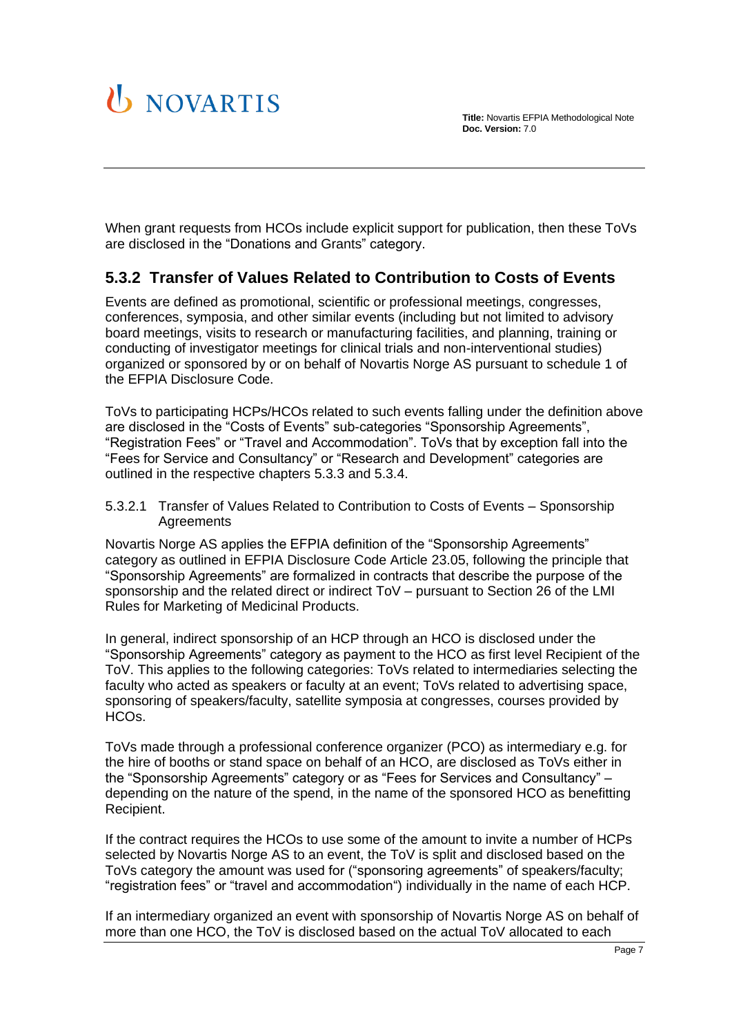

When grant requests from HCOs include explicit support for publication, then these ToVs are disclosed in the "Donations and Grants" category.

#### <span id="page-6-0"></span>**5.3.2 Transfer of Values Related to Contribution to Costs of Events**

Events are defined as promotional, scientific or professional meetings, congresses, conferences, symposia, and other similar events (including but not limited to advisory board meetings, visits to research or manufacturing facilities, and planning, training or conducting of investigator meetings for clinical trials and non-interventional studies) organized or sponsored by or on behalf of Novartis Norge AS pursuant to schedule 1 of the EFPIA Disclosure Code.

ToVs to participating HCPs/HCOs related to such events falling under the definition above are disclosed in the "Costs of Events" sub-categories "Sponsorship Agreements", "Registration Fees" or "Travel and Accommodation". ToVs that by exception fall into the "Fees for Service and Consultancy" or "Research and Development" categories are outlined in the respective chapters [5.3.3](#page-8-0) and [5.3.4.](#page-9-1)

<span id="page-6-1"></span>5.3.2.1 Transfer of Values Related to Contribution to Costs of Events – Sponsorship **Agreements** 

Novartis Norge AS applies the EFPIA definition of the "Sponsorship Agreements" category as outlined in EFPIA Disclosure Code Article 23.05, following the principle that "Sponsorship Agreements" are formalized in contracts that describe the purpose of the sponsorship and the related direct or indirect ToV – pursuant to Section 26 of the LMI Rules for Marketing of Medicinal Products.

In general, indirect sponsorship of an HCP through an HCO is disclosed under the "Sponsorship Agreements" category as payment to the HCO as first level Recipient of the ToV. This applies to the following categories: ToVs related to intermediaries selecting the faculty who acted as speakers or faculty at an event; ToVs related to advertising space, sponsoring of speakers/faculty, satellite symposia at congresses, courses provided by HCOs.

ToVs made through a professional conference organizer (PCO) as intermediary e.g. for the hire of booths or stand space on behalf of an HCO, are disclosed as ToVs either in the "Sponsorship Agreements" category or as "Fees for Services and Consultancy" – depending on the nature of the spend, in the name of the sponsored HCO as benefitting Recipient.

If the contract requires the HCOs to use some of the amount to invite a number of HCPs selected by Novartis Norge AS to an event, the ToV is split and disclosed based on the ToVs category the amount was used for ("sponsoring agreements" of speakers/faculty; "registration fees" or "travel and accommodation") individually in the name of each HCP.

If an intermediary organized an event with sponsorship of Novartis Norge AS on behalf of more than one HCO, the ToV is disclosed based on the actual ToV allocated to each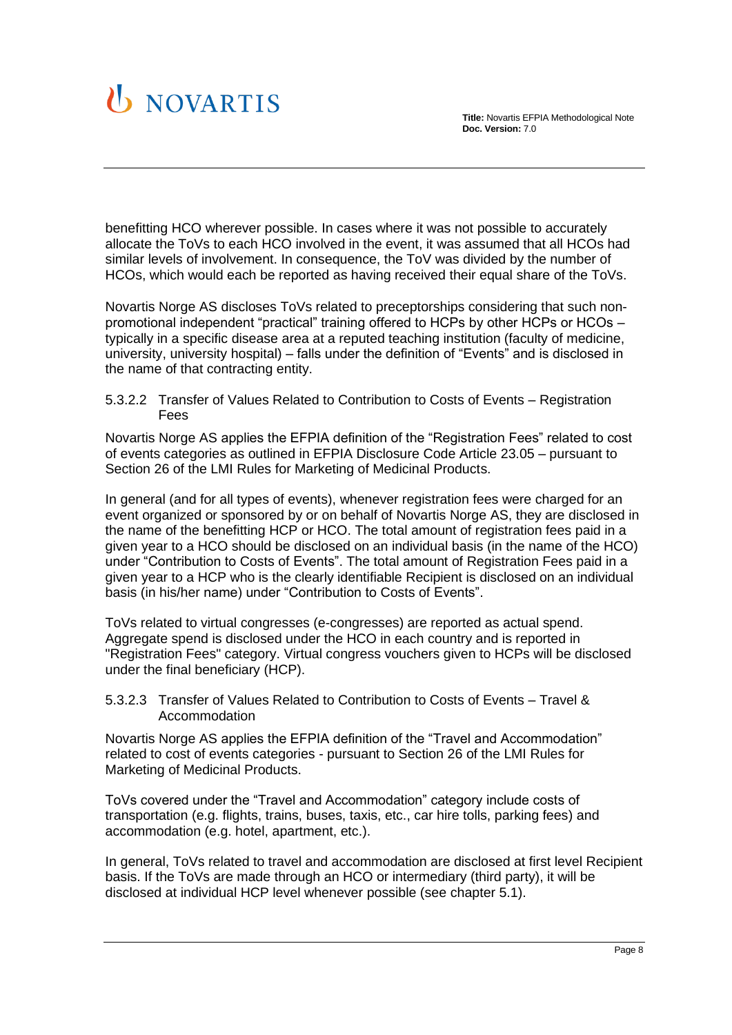

benefitting HCO wherever possible. In cases where it was not possible to accurately allocate the ToVs to each HCO involved in the event, it was assumed that all HCOs had similar levels of involvement. In consequence, the ToV was divided by the number of HCOs, which would each be reported as having received their equal share of the ToVs.

Novartis Norge AS discloses ToVs related to preceptorships considering that such nonpromotional independent "practical" training offered to HCPs by other HCPs or HCOs – typically in a specific disease area at a reputed teaching institution (faculty of medicine, university, university hospital) – falls under the definition of "Events" and is disclosed in the name of that contracting entity.

<span id="page-7-0"></span>5.3.2.2 Transfer of Values Related to Contribution to Costs of Events – Registration Fees

Novartis Norge AS applies the EFPIA definition of the "Registration Fees" related to cost of events categories as outlined in EFPIA Disclosure Code Article 23.05 – pursuant to Section 26 of the LMI Rules for Marketing of Medicinal Products.

In general (and for all types of events), whenever registration fees were charged for an event organized or sponsored by or on behalf of Novartis Norge AS, they are disclosed in the name of the benefitting HCP or HCO. The total amount of registration fees paid in a given year to a HCO should be disclosed on an individual basis (in the name of the HCO) under "Contribution to Costs of Events". The total amount of Registration Fees paid in a given year to a HCP who is the clearly identifiable Recipient is disclosed on an individual basis (in his/her name) under "Contribution to Costs of Events".

ToVs related to virtual congresses (e-congresses) are reported as actual spend. Aggregate spend is disclosed under the HCO in each country and is reported in "Registration Fees" category. Virtual congress vouchers given to HCPs will be disclosed under the final beneficiary (HCP).

<span id="page-7-1"></span>5.3.2.3 Transfer of Values Related to Contribution to Costs of Events – Travel & Accommodation

Novartis Norge AS applies the EFPIA definition of the "Travel and Accommodation" related to cost of events categories - pursuant to Section 26 of the LMI Rules for Marketing of Medicinal Products.

ToVs covered under the "Travel and Accommodation" category include costs of transportation (e.g. flights, trains, buses, taxis, etc., car hire tolls, parking fees) and accommodation (e.g. hotel, apartment, etc.).

In general, ToVs related to travel and accommodation are disclosed at first level Recipient basis. If the ToVs are made through an HCO or intermediary (third party), it will be disclosed at individual HCP level whenever possible (see chapter [5.1\)](#page-4-1).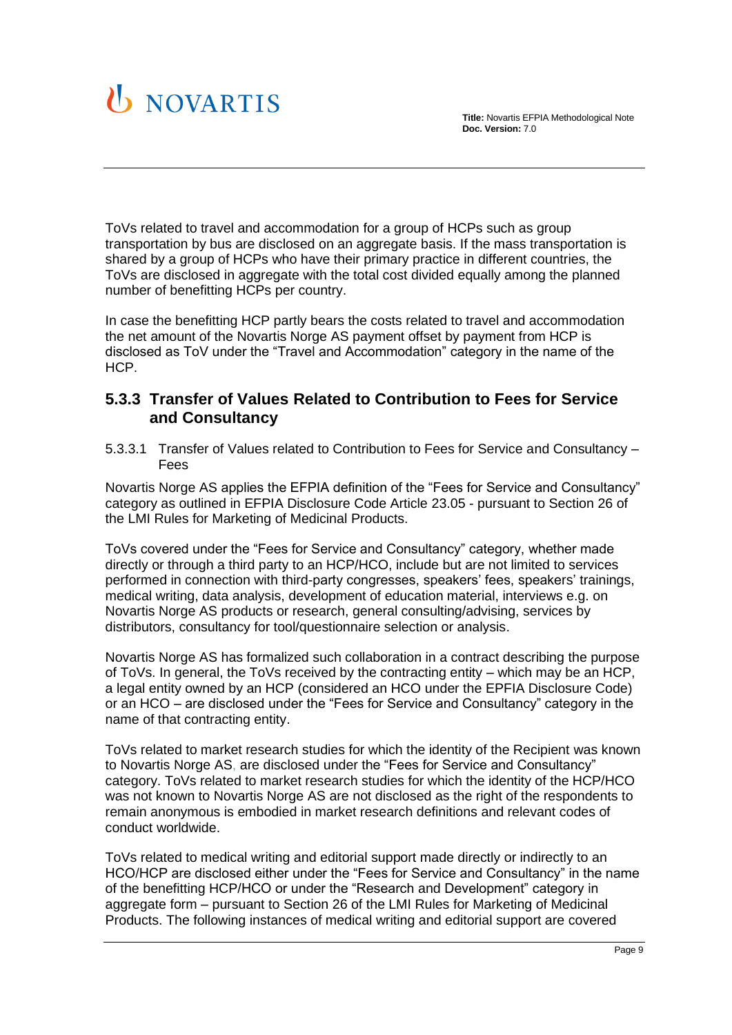

ToVs related to travel and accommodation for a group of HCPs such as group transportation by bus are disclosed on an aggregate basis. If the mass transportation is shared by a group of HCPs who have their primary practice in different countries, the ToVs are disclosed in aggregate with the total cost divided equally among the planned number of benefitting HCPs per country.

In case the benefitting HCP partly bears the costs related to travel and accommodation the net amount of the Novartis Norge AS payment offset by payment from HCP is disclosed as ToV under the "Travel and Accommodation" category in the name of the HCP.

#### <span id="page-8-0"></span>**5.3.3 Transfer of Values Related to Contribution to Fees for Service and Consultancy**

<span id="page-8-1"></span>5.3.3.1 Transfer of Values related to Contribution to Fees for Service and Consultancy – Fees

Novartis Norge AS applies the EFPIA definition of the "Fees for Service and Consultancy" category as outlined in EFPIA Disclosure Code Article 23.05 - pursuant to Section 26 of the LMI Rules for Marketing of Medicinal Products.

ToVs covered under the "Fees for Service and Consultancy" category, whether made directly or through a third party to an HCP/HCO, include but are not limited to services performed in connection with third-party congresses, speakers' fees, speakers' trainings, medical writing, data analysis, development of education material, interviews e.g. on Novartis Norge AS products or research, general consulting/advising, services by distributors, consultancy for tool/questionnaire selection or analysis.

Novartis Norge AS has formalized such collaboration in a contract describing the purpose of ToVs. In general, the ToVs received by the contracting entity – which may be an HCP, a legal entity owned by an HCP (considered an HCO under the EPFIA Disclosure Code) or an HCO – are disclosed under the "Fees for Service and Consultancy" category in the name of that contracting entity.

ToVs related to market research studies for which the identity of the Recipient was known to Novartis Norge AS, are disclosed under the "Fees for Service and Consultancy" category. ToVs related to market research studies for which the identity of the HCP/HCO was not known to Novartis Norge AS are not disclosed as the right of the respondents to remain anonymous is embodied in market research definitions and relevant codes of conduct worldwide.

ToVs related to medical writing and editorial support made directly or indirectly to an HCO/HCP are disclosed either under the "Fees for Service and Consultancy" in the name of the benefitting HCP/HCO or under the "Research and Development" category in aggregate form – pursuant to Section 26 of the LMI Rules for Marketing of Medicinal Products. The following instances of medical writing and editorial support are covered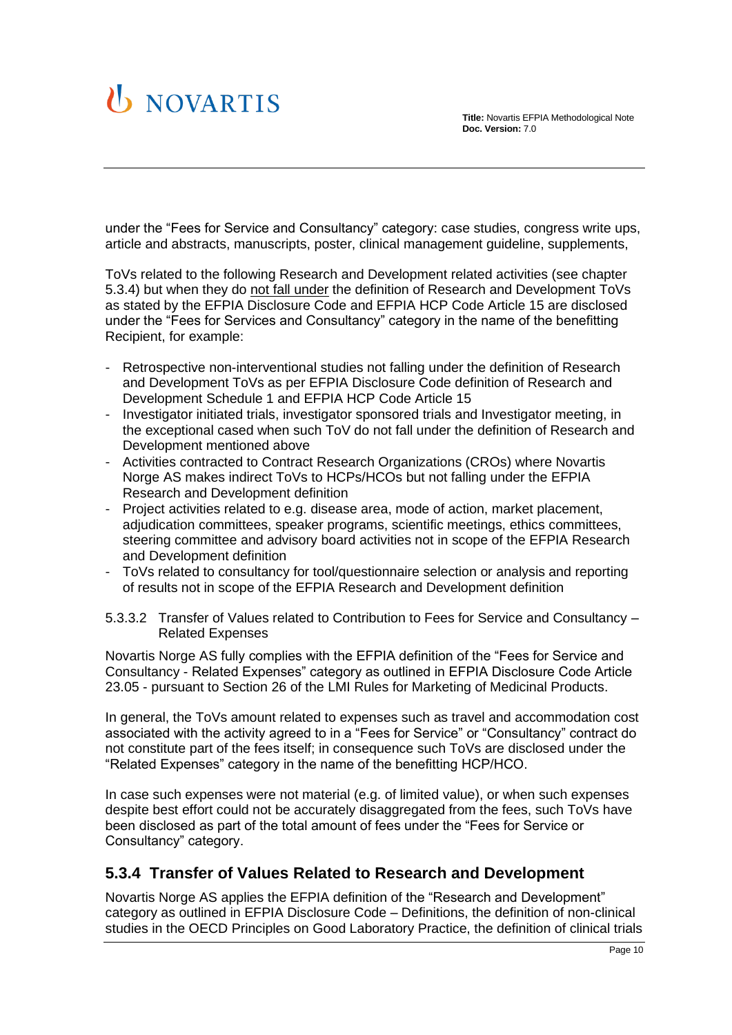

under the "Fees for Service and Consultancy" category: case studies, congress write ups, article and abstracts, manuscripts, poster, clinical management guideline, supplements,

ToVs related to the following Research and Development related activities (see chapter [5.3.4\)](#page-9-1) but when they do not fall under the definition of Research and Development ToVs as stated by the EFPIA Disclosure Code and EFPIA HCP Code Article 15 are disclosed under the "Fees for Services and Consultancy" category in the name of the benefitting Recipient, for example:

- Retrospective non-interventional studies not falling under the definition of Research and Development ToVs as per EFPIA Disclosure Code definition of Research and Development Schedule 1 and EFPIA HCP Code Article 15
- Investigator initiated trials, investigator sponsored trials and Investigator meeting, in the exceptional cased when such ToV do not fall under the definition of Research and Development mentioned above
- Activities contracted to Contract Research Organizations (CROs) where Novartis Norge AS makes indirect ToVs to HCPs/HCOs but not falling under the EFPIA Research and Development definition
- Project activities related to e.g. disease area, mode of action, market placement, adjudication committees, speaker programs, scientific meetings, ethics committees, steering committee and advisory board activities not in scope of the EFPIA Research and Development definition
- ToVs related to consultancy for tool/questionnaire selection or analysis and reporting of results not in scope of the EFPIA Research and Development definition

<span id="page-9-0"></span>5.3.3.2 Transfer of Values related to Contribution to Fees for Service and Consultancy – Related Expenses

Novartis Norge AS fully complies with the EFPIA definition of the "Fees for Service and Consultancy - Related Expenses" category as outlined in EFPIA Disclosure Code Article 23.05 - pursuant to Section 26 of the LMI Rules for Marketing of Medicinal Products.

In general, the ToVs amount related to expenses such as travel and accommodation cost associated with the activity agreed to in a "Fees for Service" or "Consultancy" contract do not constitute part of the fees itself; in consequence such ToVs are disclosed under the "Related Expenses" category in the name of the benefitting HCP/HCO.

In case such expenses were not material (e.g. of limited value), or when such expenses despite best effort could not be accurately disaggregated from the fees, such ToVs have been disclosed as part of the total amount of fees under the "Fees for Service or Consultancy" category.

#### <span id="page-9-1"></span>**5.3.4 Transfer of Values Related to Research and Development**

Novartis Norge AS applies the EFPIA definition of the "Research and Development" category as outlined in EFPIA Disclosure Code – Definitions, the definition of non-clinical studies in the OECD Principles on Good Laboratory Practice, the definition of clinical trials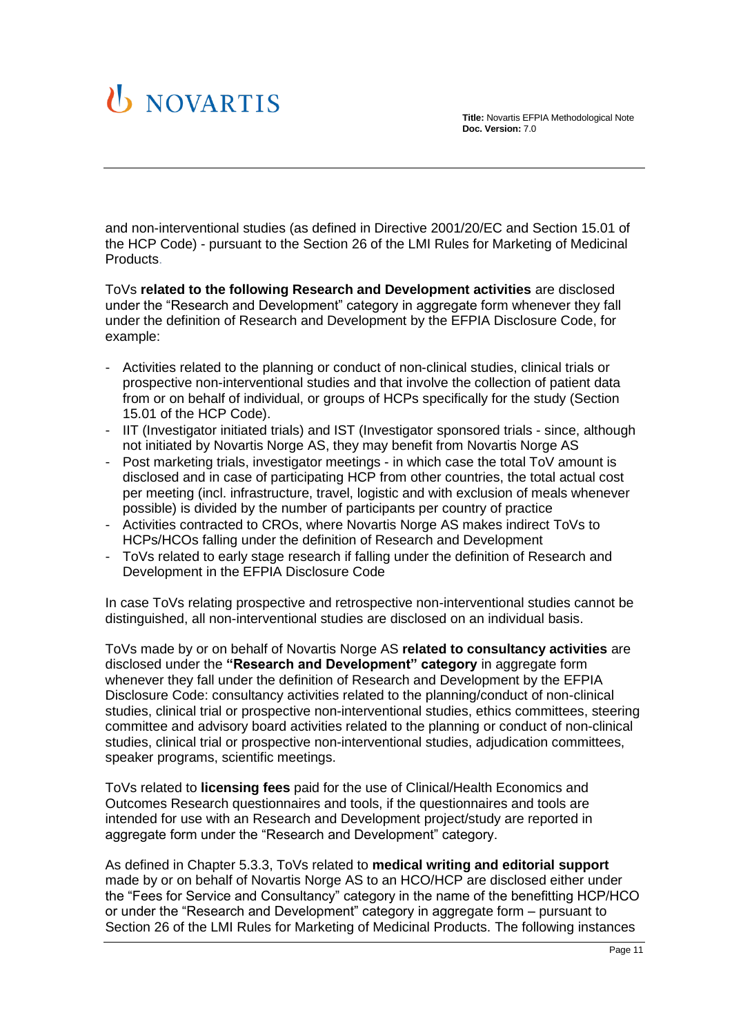# U NOVARTIS

and non-interventional studies (as defined in Directive 2001/20/EC and Section 15.01 of the HCP Code) - pursuant to the Section 26 of the LMI Rules for Marketing of Medicinal Products.

ToVs **related to the following Research and Development activities** are disclosed under the "Research and Development" category in aggregate form whenever they fall under the definition of Research and Development by the EFPIA Disclosure Code, for example:

- Activities related to the planning or conduct of non-clinical studies, clinical trials or prospective non-interventional studies and that involve the collection of patient data from or on behalf of individual, or groups of HCPs specifically for the study (Section 15.01 of the HCP Code).
- IIT (Investigator initiated trials) and IST (Investigator sponsored trials since, although not initiated by Novartis Norge AS, they may benefit from Novartis Norge AS
- Post marketing trials, investigator meetings in which case the total ToV amount is disclosed and in case of participating HCP from other countries, the total actual cost per meeting (incl. infrastructure, travel, logistic and with exclusion of meals whenever possible) is divided by the number of participants per country of practice
- Activities contracted to CROs, where Novartis Norge AS makes indirect ToVs to HCPs/HCOs falling under the definition of Research and Development
- ToVs related to early stage research if falling under the definition of Research and Development in the EFPIA Disclosure Code

In case ToVs relating prospective and retrospective non-interventional studies cannot be distinguished, all non-interventional studies are disclosed on an individual basis.

ToVs made by or on behalf of Novartis Norge AS **related to consultancy activities** are disclosed under the **"Research and Development" category** in aggregate form whenever they fall under the definition of Research and Development by the EFPIA Disclosure Code: consultancy activities related to the planning/conduct of non-clinical studies, clinical trial or prospective non-interventional studies, ethics committees, steering committee and advisory board activities related to the planning or conduct of non-clinical studies, clinical trial or prospective non-interventional studies, adjudication committees, speaker programs, scientific meetings.

ToVs related to **licensing fees** paid for the use of Clinical/Health Economics and Outcomes Research questionnaires and tools, if the questionnaires and tools are intended for use with an Research and Development project/study are reported in aggregate form under the "Research and Development" category.

As defined in Chapter 5.3.3, ToVs related to **medical writing and editorial support**  made by or on behalf of Novartis Norge AS to an HCO/HCP are disclosed either under the "Fees for Service and Consultancy" category in the name of the benefitting HCP/HCO or under the "Research and Development" category in aggregate form – pursuant to Section 26 of the LMI Rules for Marketing of Medicinal Products. The following instances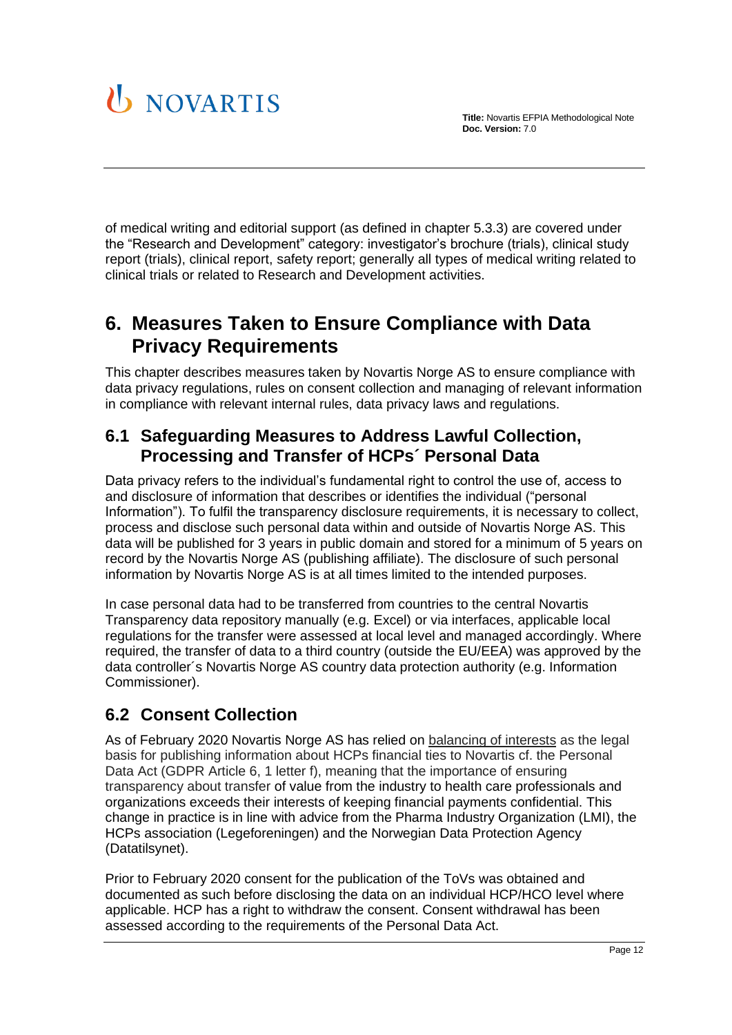

of medical writing and editorial support (as defined in chapter [5.3.3\)](#page-8-0) are covered under the "Research and Development" category: investigator's brochure (trials), clinical study report (trials), clinical report, safety report; generally all types of medical writing related to clinical trials or related to Research and Development activities.

## <span id="page-11-0"></span>**6. Measures Taken to Ensure Compliance with Data Privacy Requirements**

This chapter describes measures taken by Novartis Norge AS to ensure compliance with data privacy regulations, rules on consent collection and managing of relevant information in compliance with relevant internal rules, data privacy laws and regulations.

### <span id="page-11-1"></span>**6.1 Safeguarding Measures to Address Lawful Collection, Processing and Transfer of HCPs´ Personal Data**

Data privacy refers to the individual's fundamental right to control the use of, access to and disclosure of information that describes or identifies the individual ("personal Information"). To fulfil the transparency disclosure requirements, it is necessary to collect, process and disclose such personal data within and outside of Novartis Norge AS. This data will be published for 3 years in public domain and stored for a minimum of 5 years on record by the Novartis Norge AS (publishing affiliate). The disclosure of such personal information by Novartis Norge AS is at all times limited to the intended purposes.

In case personal data had to be transferred from countries to the central Novartis Transparency data repository manually (e.g. Excel) or via interfaces, applicable local regulations for the transfer were assessed at local level and managed accordingly. Where required, the transfer of data to a third country (outside the EU/EEA) was approved by the data controller´s Novartis Norge AS country data protection authority (e.g. Information Commissioner).

## <span id="page-11-2"></span>**6.2 Consent Collection**

As of February 2020 Novartis Norge AS has relied on balancing of interests as the legal basis for publishing information about HCPs financial ties to Novartis cf. the Personal Data Act (GDPR Article 6, 1 letter f), meaning that the importance of ensuring transparency about transfer of value from the industry to health care professionals and organizations exceeds their interests of keeping financial payments confidential. This change in practice is in line with advice from the Pharma Industry Organization (LMI), the HCPs association (Legeforeningen) and the Norwegian Data Protection Agency (Datatilsynet).

Prior to February 2020 consent for the publication of the ToVs was obtained and documented as such before disclosing the data on an individual HCP/HCO level where applicable. HCP has a right to withdraw the consent. Consent withdrawal has been assessed according to the requirements of the Personal Data Act.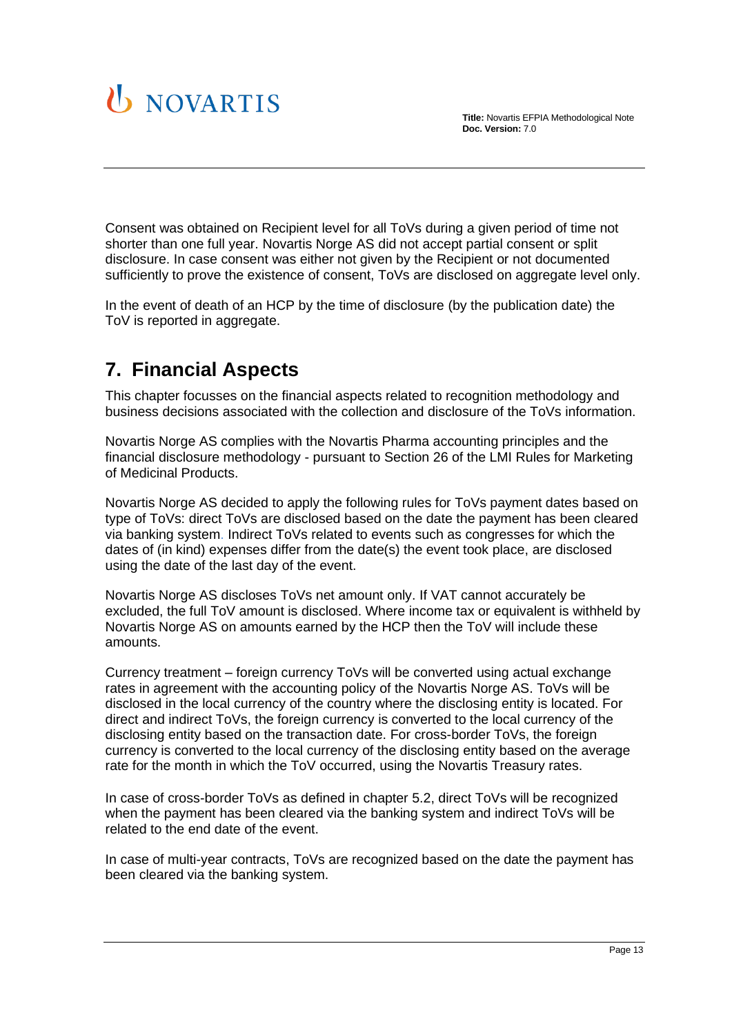

Consent was obtained on Recipient level for all ToVs during a given period of time not shorter than one full year. Novartis Norge AS did not accept partial consent or split disclosure. In case consent was either not given by the Recipient or not documented sufficiently to prove the existence of consent, ToVs are disclosed on aggregate level only.

In the event of death of an HCP by the time of disclosure (by the publication date) the ToV is reported in aggregate.

## <span id="page-12-0"></span>**7. Financial Aspects**

This chapter focusses on the financial aspects related to recognition methodology and business decisions associated with the collection and disclosure of the ToVs information.

Novartis Norge AS complies with the Novartis Pharma accounting principles and the financial disclosure methodology - pursuant to Section 26 of the LMI Rules for Marketing of Medicinal Products.

Novartis Norge AS decided to apply the following rules for ToVs payment dates based on type of ToVs: direct ToVs are disclosed based on the date the payment has been cleared via banking system. Indirect ToVs related to events such as congresses for which the dates of (in kind) expenses differ from the date(s) the event took place, are disclosed using the date of the last day of the event.

Novartis Norge AS discloses ToVs net amount only. If VAT cannot accurately be excluded, the full ToV amount is disclosed. Where income tax or equivalent is withheld by Novartis Norge AS on amounts earned by the HCP then the ToV will include these amounts.

Currency treatment – foreign currency ToVs will be converted using actual exchange rates in agreement with the accounting policy of the Novartis Norge AS. ToVs will be disclosed in the local currency of the country where the disclosing entity is located. For direct and indirect ToVs, the foreign currency is converted to the local currency of the disclosing entity based on the transaction date. For cross-border ToVs, the foreign currency is converted to the local currency of the disclosing entity based on the average rate for the month in which the ToV occurred, using the Novartis Treasury rates.

In case of cross-border ToVs as defined in chapter 5.2, direct ToVs will be recognized when the payment has been cleared via the banking system and indirect ToVs will be related to the end date of the event.

In case of multi-year contracts, ToVs are recognized based on the date the payment has been cleared via the banking system.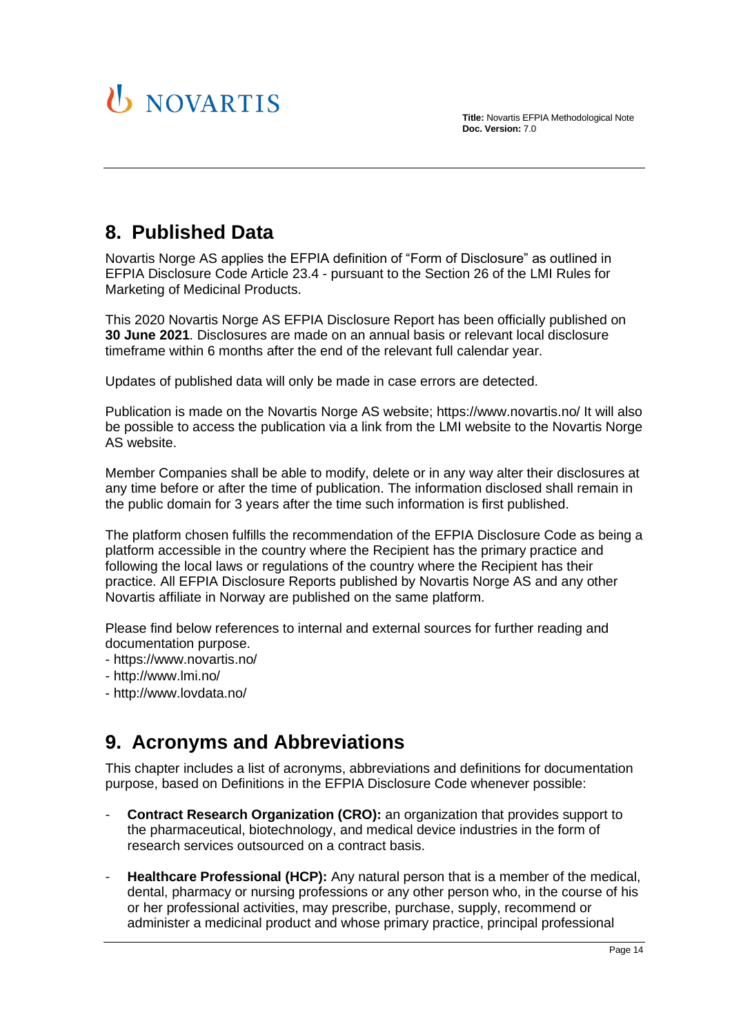

## <span id="page-13-0"></span>**8. Published Data**

Novartis Norge AS applies the EFPIA definition of "Form of Disclosure" as outlined in EFPIA Disclosure Code Article 23.4 - pursuant to the Section 26 of the LMI Rules for Marketing of Medicinal Products.

This 2020 Novartis Norge AS EFPIA Disclosure Report has been officially published on **30 June 2021**. Disclosures are made on an annual basis or relevant local disclosure timeframe within 6 months after the end of the relevant full calendar year.

Updates of published data will only be made in case errors are detected.

Publication is made on the Novartis Norge AS website; https://www.novartis.no/ It will also be possible to access the publication via a link from the LMI website to the Novartis Norge AS website.

Member Companies shall be able to modify, delete or in any way alter their disclosures at any time before or after the time of publication. The information disclosed shall remain in the public domain for 3 years after the time such information is first published.

The platform chosen fulfills the recommendation of the EFPIA Disclosure Code as being a platform accessible in the country where the Recipient has the primary practice and following the local laws or regulations of the country where the Recipient has their practice. All EFPIA Disclosure Reports published by Novartis Norge AS and any other Novartis affiliate in Norway are published on the same platform.

Please find below references to internal and external sources for further reading and documentation purpose.

- https://www.novartis.no/
- http://www.lmi.no/
- <span id="page-13-1"></span>- http://www.lovdata.no/

## **9. Acronyms and Abbreviations**

This chapter includes a list of acronyms, abbreviations and definitions for documentation purpose, based on Definitions in the EFPIA Disclosure Code whenever possible:

- **Contract Research Organization (CRO):** an organization that provides support to the pharmaceutical, biotechnology, and medical device industries in the form of research services outsourced on a contract basis.
- **Healthcare Professional (HCP):** Any natural person that is a member of the medical, dental, pharmacy or nursing professions or any other person who, in the course of his or her professional activities, may prescribe, purchase, supply, recommend or administer a medicinal product and whose primary practice, principal professional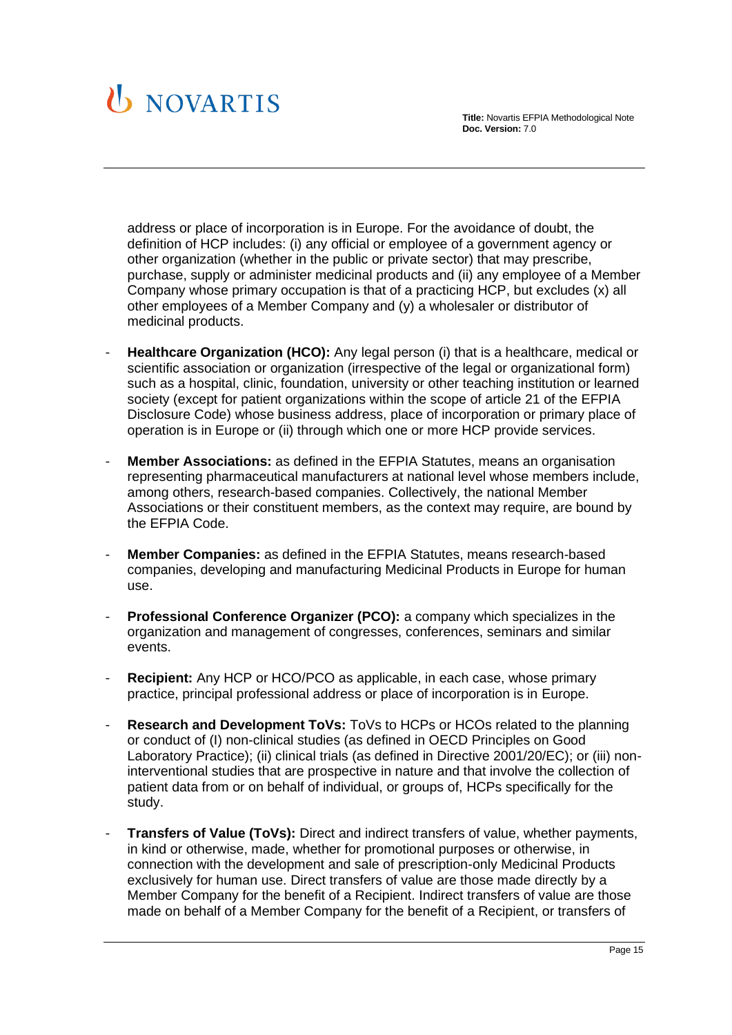

address or place of incorporation is in Europe. For the avoidance of doubt, the definition of HCP includes: (i) any official or employee of a government agency or other organization (whether in the public or private sector) that may prescribe, purchase, supply or administer medicinal products and (ii) any employee of a Member Company whose primary occupation is that of a practicing HCP, but excludes (x) all other employees of a Member Company and (y) a wholesaler or distributor of medicinal products.

- **Healthcare Organization (HCO):** Any legal person (i) that is a healthcare, medical or scientific association or organization (irrespective of the legal or organizational form) such as a hospital, clinic, foundation, university or other teaching institution or learned society (except for patient organizations within the scope of article 21 of the EFPIA Disclosure Code) whose business address, place of incorporation or primary place of operation is in Europe or (ii) through which one or more HCP provide services.
- **Member Associations:** as defined in the EFPIA Statutes, means an organisation representing pharmaceutical manufacturers at national level whose members include, among others, research-based companies. Collectively, the national Member Associations or their constituent members, as the context may require, are bound by the EFPIA Code.
- **Member Companies:** as defined in the EFPIA Statutes, means research-based companies, developing and manufacturing Medicinal Products in Europe for human use.
- **Professional Conference Organizer (PCO):** a company which specializes in the organization and management of congresses, conferences, seminars and similar events.
- **Recipient:** Any HCP or HCO/PCO as applicable, in each case, whose primary practice, principal professional address or place of incorporation is in Europe.
- **Research and Development ToVs:** ToVs to HCPs or HCOs related to the planning or conduct of (I) non-clinical studies (as defined in OECD Principles on Good Laboratory Practice); (ii) clinical trials (as defined in Directive 2001/20/EC); or (iii) noninterventional studies that are prospective in nature and that involve the collection of patient data from or on behalf of individual, or groups of, HCPs specifically for the study.
- **Transfers of Value (ToVs):** Direct and indirect transfers of value, whether payments, in kind or otherwise, made, whether for promotional purposes or otherwise, in connection with the development and sale of prescription-only Medicinal Products exclusively for human use. Direct transfers of value are those made directly by a Member Company for the benefit of a Recipient. Indirect transfers of value are those made on behalf of a Member Company for the benefit of a Recipient, or transfers of